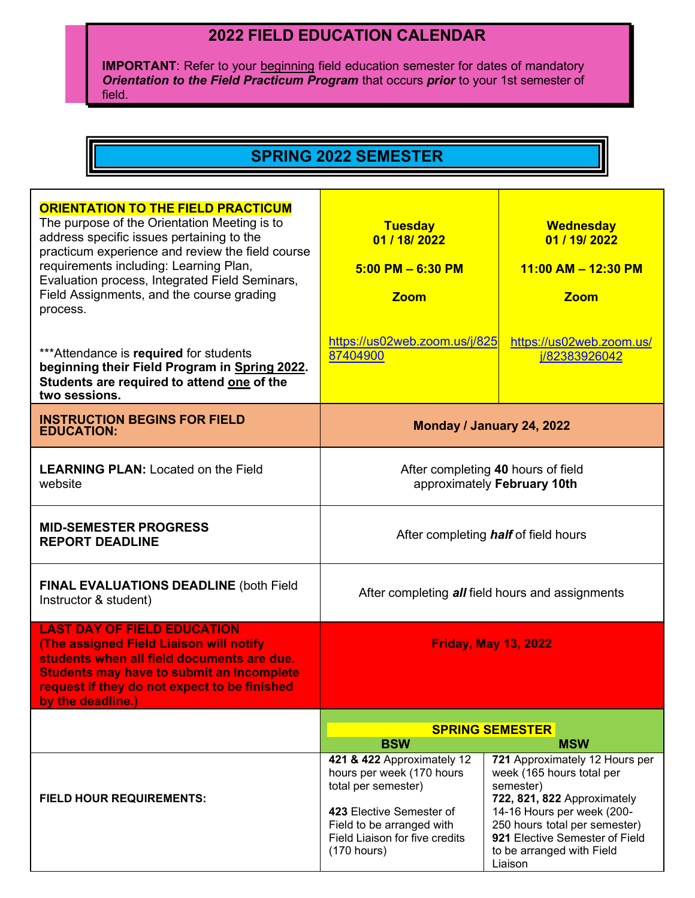## **2022 FIELD EDUCATION CALENDAR**

**IMPORTANT**: Refer to your beginning field education semester for dates of mandatory *Orientation to the Field Practicum Program* that occurs *prior* to your 1st semester of field.

## **SPRING 2022 SEMESTER**

| <b>ORIENTATION TO THE FIELD PRACTICUM</b><br>The purpose of the Orientation Meeting is to<br>address specific issues pertaining to the<br>practicum experience and review the field course<br>requirements including: Learning Plan,<br>Evaluation process, Integrated Field Seminars,<br>Field Assignments, and the course grading<br>process. | <b>Tuesday</b><br>01 / 18 / 2022<br>$5:00$ PM $-6:30$ PM<br><b>Zoom</b>                                                                                                                  | <b>Wednesday</b><br>01 / 19/ 2022<br>$11:00$ AM $- 12:30$ PM<br><b>Zoom</b>                                                                                                                                                                      |
|-------------------------------------------------------------------------------------------------------------------------------------------------------------------------------------------------------------------------------------------------------------------------------------------------------------------------------------------------|------------------------------------------------------------------------------------------------------------------------------------------------------------------------------------------|--------------------------------------------------------------------------------------------------------------------------------------------------------------------------------------------------------------------------------------------------|
| *** Attendance is required for students<br>beginning their Field Program in Spring 2022.<br>Students are required to attend one of the<br>two sessions.                                                                                                                                                                                         | https://us02web.zoom.us/j/825<br>87404900                                                                                                                                                | https://us02web.zoom.us/<br>j/82383926042                                                                                                                                                                                                        |
| <b>INSTRUCTION BEGINS FOR FIELD</b><br><b>EDUCATION:</b>                                                                                                                                                                                                                                                                                        | Monday / January 24, 2022                                                                                                                                                                |                                                                                                                                                                                                                                                  |
| <b>LEARNING PLAN: Located on the Field</b><br>website                                                                                                                                                                                                                                                                                           | After completing 40 hours of field<br>approximately February 10th                                                                                                                        |                                                                                                                                                                                                                                                  |
| <b>MID-SEMESTER PROGRESS</b><br><b>REPORT DEADLINE</b>                                                                                                                                                                                                                                                                                          | After completing <i>half</i> of field hours                                                                                                                                              |                                                                                                                                                                                                                                                  |
| <b>FINAL EVALUATIONS DEADLINE (both Field</b><br>Instructor & student)                                                                                                                                                                                                                                                                          | After completing all field hours and assignments                                                                                                                                         |                                                                                                                                                                                                                                                  |
| <b>LAST DAY OF FIELD EDUCATION</b><br>(The assigned Field Liaison will notify<br>students when all field documents are due.<br><b>Students may have to submit an Incomplete</b><br>request if they do not expect to be finished<br>by the deadline.)                                                                                            | <b>Friday, May 13, 2022</b>                                                                                                                                                              |                                                                                                                                                                                                                                                  |
|                                                                                                                                                                                                                                                                                                                                                 | <b>SPRING SEMESTER</b><br><b>BSW</b><br><b>MSW</b>                                                                                                                                       |                                                                                                                                                                                                                                                  |
| <b>FIELD HOUR REQUIREMENTS:</b>                                                                                                                                                                                                                                                                                                                 | 421 & 422 Approximately 12<br>hours per week (170 hours<br>total per semester)<br>423 Elective Semester of<br>Field to be arranged with<br>Field Liaison for five credits<br>(170 hours) | 721 Approximately 12 Hours per<br>week (165 hours total per<br>semester)<br>722, 821, 822 Approximately<br>14-16 Hours per week (200-<br>250 hours total per semester)<br>921 Elective Semester of Field<br>to be arranged with Field<br>Liaison |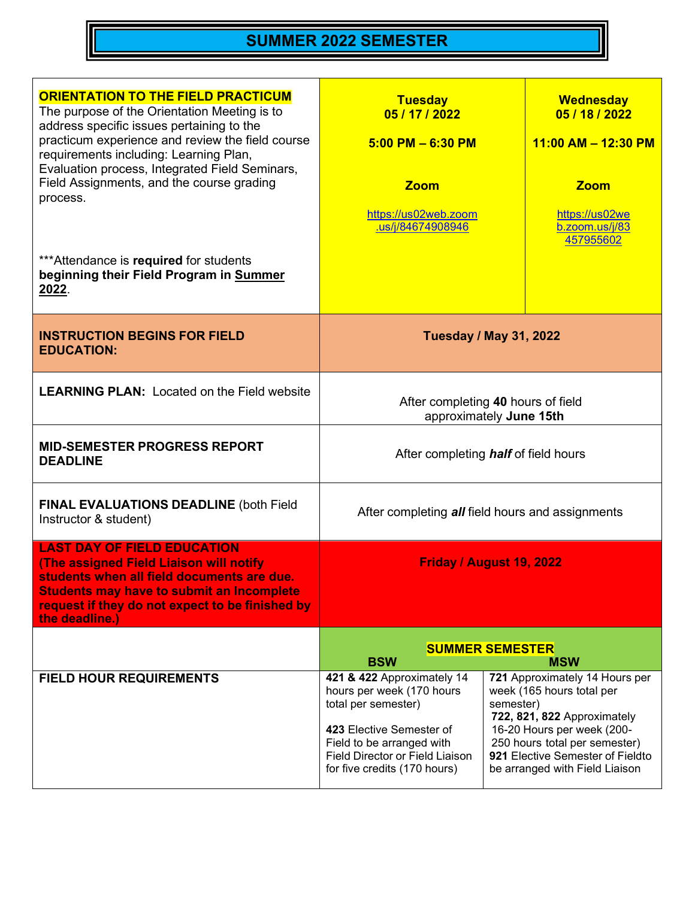## **SUMMER 2022 SEMESTER**

| <b>ORIENTATION TO THE FIELD PRACTICUM</b><br>The purpose of the Orientation Meeting is to<br>address specific issues pertaining to the<br>practicum experience and review the field course<br>requirements including: Learning Plan,<br>Evaluation process, Integrated Field Seminars,<br>Field Assignments, and the course grading<br>process. | <b>Tuesday</b><br>05 / 17 / 2022<br>$5:00$ PM $-6:30$ PM<br><b>Zoom</b><br>https://us02web.zoom<br>.us/j/84674908946                                                                                                    | <b>Wednesday</b><br>05 / 18 / 2022<br>11:00 AM - 12:30 PM<br><b>Zoom</b><br>https://us02we<br>b.zoom.us/j/83<br>457955602                                                                                                       |
|-------------------------------------------------------------------------------------------------------------------------------------------------------------------------------------------------------------------------------------------------------------------------------------------------------------------------------------------------|-------------------------------------------------------------------------------------------------------------------------------------------------------------------------------------------------------------------------|---------------------------------------------------------------------------------------------------------------------------------------------------------------------------------------------------------------------------------|
| *** Attendance is required for students<br>beginning their Field Program in Summer<br>2022.                                                                                                                                                                                                                                                     |                                                                                                                                                                                                                         |                                                                                                                                                                                                                                 |
| <b>INSTRUCTION BEGINS FOR FIELD</b><br><b>EDUCATION:</b>                                                                                                                                                                                                                                                                                        | <b>Tuesday / May 31, 2022</b>                                                                                                                                                                                           |                                                                                                                                                                                                                                 |
| <b>LEARNING PLAN: Located on the Field website</b>                                                                                                                                                                                                                                                                                              | After completing 40 hours of field<br>approximately June 15th                                                                                                                                                           |                                                                                                                                                                                                                                 |
| <b>MID-SEMESTER PROGRESS REPORT</b><br><b>DEADLINE</b>                                                                                                                                                                                                                                                                                          | After completing <b>half</b> of field hours                                                                                                                                                                             |                                                                                                                                                                                                                                 |
| <b>FINAL EVALUATIONS DEADLINE (both Field</b><br>Instructor & student)                                                                                                                                                                                                                                                                          | After completing all field hours and assignments                                                                                                                                                                        |                                                                                                                                                                                                                                 |
| <b>LAST DAY OF FIELD EDUCATION</b><br>(The assigned Field Liaison will notify<br>students when all field documents are due.<br><b>Students may have to submit an Incomplete</b><br>request if they do not expect to be finished by<br>the deadline.)                                                                                            | Friday / August 19, 2022                                                                                                                                                                                                |                                                                                                                                                                                                                                 |
|                                                                                                                                                                                                                                                                                                                                                 | <b>SUMMER SEMESTER</b><br><b>BSW</b><br><b>MSW</b>                                                                                                                                                                      |                                                                                                                                                                                                                                 |
| <b>FIELD HOUR REQUIREMENTS</b>                                                                                                                                                                                                                                                                                                                  | 421 & 422 Approximately 14<br>hours per week (170 hours<br>total per semester)<br>semester)<br>423 Elective Semester of<br>Field to be arranged with<br>Field Director or Field Liaison<br>for five credits (170 hours) | 721 Approximately 14 Hours per<br>week (165 hours total per<br>722, 821, 822 Approximately<br>16-20 Hours per week (200-<br>250 hours total per semester)<br>921 Elective Semester of Fieldto<br>be arranged with Field Liaison |